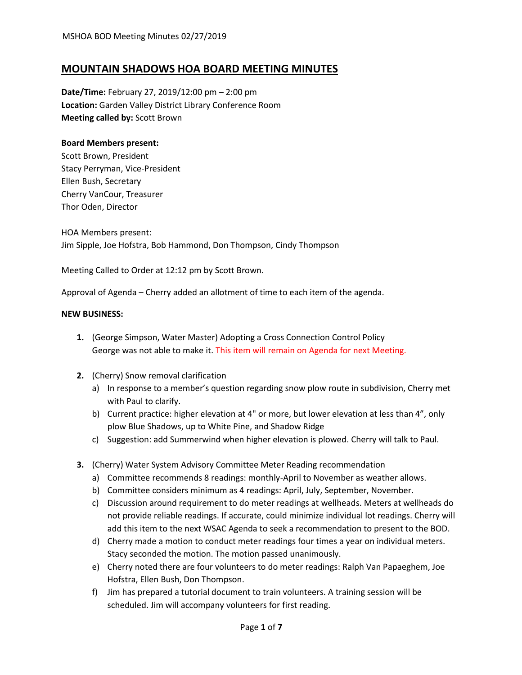### **MOUNTAIN SHADOWS HOA BOARD MEETING MINUTES**

**Date/Time:** February 27, 2019/12:00 pm – 2:00 pm **Location:** Garden Valley District Library Conference Room **Meeting called by:** Scott Brown

#### **Board Members present:**

Scott Brown, President Stacy Perryman, Vice-President Ellen Bush, Secretary Cherry VanCour, Treasurer Thor Oden, Director

HOA Members present: Jim Sipple, Joe Hofstra, Bob Hammond, Don Thompson, Cindy Thompson

Meeting Called to Order at 12:12 pm by Scott Brown.

Approval of Agenda – Cherry added an allotment of time to each item of the agenda.

#### **NEW BUSINESS:**

- **1.** (George Simpson, Water Master) Adopting a Cross Connection Control Policy George was not able to make it. This item will remain on Agenda for next Meeting.
- **2.** (Cherry) Snow removal clarification
	- a) In response to a member's question regarding snow plow route in subdivision, Cherry met with Paul to clarify.
	- b) Current practice: higher elevation at 4" or more, but lower elevation at less than 4", only plow Blue Shadows, up to White Pine, and Shadow Ridge
	- c) Suggestion: add Summerwind when higher elevation is plowed. Cherry will talk to Paul.
- **3.** (Cherry) Water System Advisory Committee Meter Reading recommendation
	- a) Committee recommends 8 readings: monthly-April to November as weather allows.
	- b) Committee considers minimum as 4 readings: April, July, September, November.
	- c) Discussion around requirement to do meter readings at wellheads. Meters at wellheads do not provide reliable readings. If accurate, could minimize individual lot readings. Cherry will add this item to the next WSAC Agenda to seek a recommendation to present to the BOD.
	- d) Cherry made a motion to conduct meter readings four times a year on individual meters. Stacy seconded the motion. The motion passed unanimously.
	- e) Cherry noted there are four volunteers to do meter readings: Ralph Van Papaeghem, Joe Hofstra, Ellen Bush, Don Thompson.
	- f) Jim has prepared a tutorial document to train volunteers. A training session will be scheduled. Jim will accompany volunteers for first reading.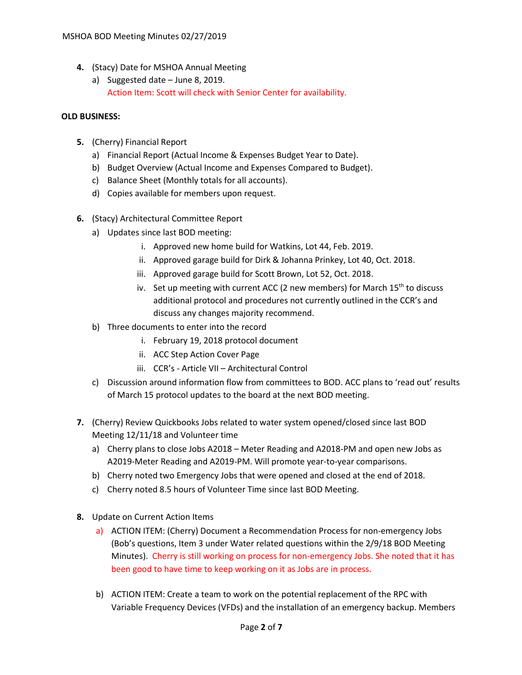- **4.** (Stacy) Date for MSHOA Annual Meeting
	- a) Suggested date June 8, 2019. Action Item: Scott will check with Senior Center for availability.

### **OLD BUSINESS:**

- **5.** (Cherry) Financial Report
	- a) Financial Report (Actual Income & Expenses Budget Year to Date).
	- b) Budget Overview (Actual Income and Expenses Compared to Budget).
	- c) Balance Sheet (Monthly totals for all accounts).
	- d) Copies available for members upon request.
- **6.** (Stacy) Architectural Committee Report
	- a) Updates since last BOD meeting:
		- i. Approved new home build for Watkins, Lot 44, Feb. 2019.
		- ii. Approved garage build for Dirk & Johanna Prinkey, Lot 40, Oct. 2018.
		- iii. Approved garage build for Scott Brown, Lot 52, Oct. 2018.
		- iv. Set up meeting with current ACC (2 new members) for March  $15<sup>th</sup>$  to discuss additional protocol and procedures not currently outlined in the CCR's and discuss any changes majority recommend.
	- b) Three documents to enter into the record
		- i. February 19, 2018 protocol document
		- ii. ACC Step Action Cover Page
		- iii. CCR's Article VII Architectural Control
	- c) Discussion around information flow from committees to BOD. ACC plans to 'read out' results of March 15 protocol updates to the board at the next BOD meeting.
- **7.** (Cherry) Review Quickbooks Jobs related to water system opened/closed since last BOD Meeting 12/11/18 and Volunteer time
	- a) Cherry plans to close Jobs A2018 Meter Reading and A2018-PM and open new Jobs as A2019-Meter Reading and A2019-PM. Will promote year-to-year comparisons.
	- b) Cherry noted two Emergency Jobs that were opened and closed at the end of 2018.
	- c) Cherry noted 8.5 hours of Volunteer Time since last BOD Meeting.
- **8.** Update on Current Action Items
	- a) ACTION ITEM: (Cherry) Document a Recommendation Process for non-emergency Jobs (Bob's questions, Item 3 under Water related questions within the 2/9/18 BOD Meeting Minutes). Cherry is still working on process for non-emergency Jobs. She noted that it has been good to have time to keep working on it as Jobs are in process.
	- b) ACTION ITEM: Create a team to work on the potential replacement of the RPC with Variable Frequency Devices (VFDs) and the installation of an emergency backup. Members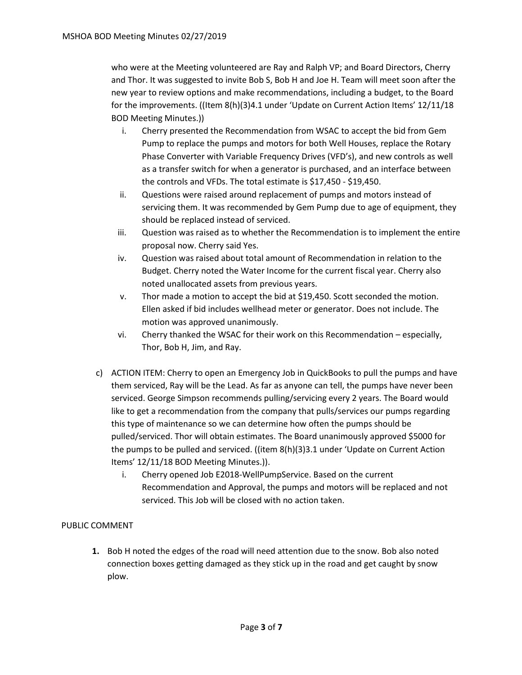who were at the Meeting volunteered are Ray and Ralph VP; and Board Directors, Cherry and Thor. It was suggested to invite Bob S, Bob H and Joe H. Team will meet soon after the new year to review options and make recommendations, including a budget, to the Board for the improvements. ((Item 8(h)(3)4.1 under 'Update on Current Action Items' 12/11/18 BOD Meeting Minutes.))

- i. Cherry presented the Recommendation from WSAC to accept the bid from Gem Pump to replace the pumps and motors for both Well Houses, replace the Rotary Phase Converter with Variable Frequency Drives (VFD's), and new controls as well as a transfer switch for when a generator is purchased, and an interface between the controls and VFDs. The total estimate is \$17,450 - \$19,450.
- ii. Questions were raised around replacement of pumps and motors instead of servicing them. It was recommended by Gem Pump due to age of equipment, they should be replaced instead of serviced.
- iii. Question was raised as to whether the Recommendation is to implement the entire proposal now. Cherry said Yes.
- iv. Question was raised about total amount of Recommendation in relation to the Budget. Cherry noted the Water Income for the current fiscal year. Cherry also noted unallocated assets from previous years.
- v. Thor made a motion to accept the bid at \$19,450. Scott seconded the motion. Ellen asked if bid includes wellhead meter or generator. Does not include. The motion was approved unanimously.
- vi. Cherry thanked the WSAC for their work on this Recommendation especially, Thor, Bob H, Jim, and Ray.
- c) ACTION ITEM: Cherry to open an Emergency Job in QuickBooks to pull the pumps and have them serviced, Ray will be the Lead. As far as anyone can tell, the pumps have never been serviced. George Simpson recommends pulling/servicing every 2 years. The Board would like to get a recommendation from the company that pulls/services our pumps regarding this type of maintenance so we can determine how often the pumps should be pulled/serviced. Thor will obtain estimates. The Board unanimously approved \$5000 for the pumps to be pulled and serviced. ((item 8(h)(3)3.1 under 'Update on Current Action Items' 12/11/18 BOD Meeting Minutes.)).
	- i. Cherry opened Job E2018-WellPumpService. Based on the current Recommendation and Approval, the pumps and motors will be replaced and not serviced. This Job will be closed with no action taken.

### PUBLIC COMMENT

**1.** Bob H noted the edges of the road will need attention due to the snow. Bob also noted connection boxes getting damaged as they stick up in the road and get caught by snow plow.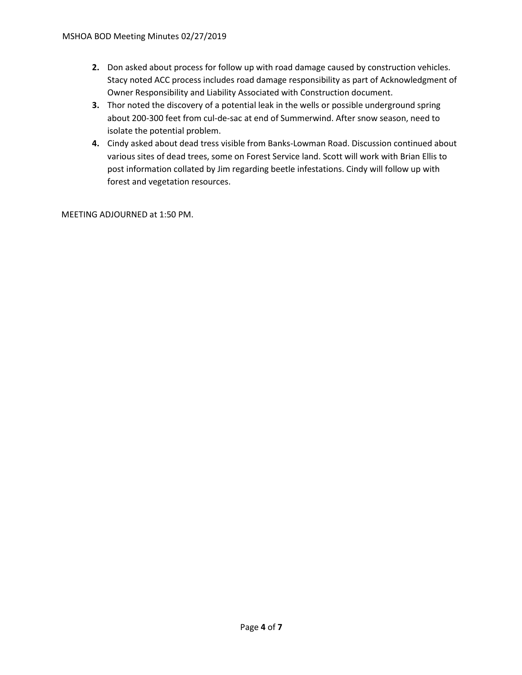- **2.** Don asked about process for follow up with road damage caused by construction vehicles. Stacy noted ACC process includes road damage responsibility as part of Acknowledgment of Owner Responsibility and Liability Associated with Construction document.
- **3.** Thor noted the discovery of a potential leak in the wells or possible underground spring about 200-300 feet from cul-de-sac at end of Summerwind. After snow season, need to isolate the potential problem.
- **4.** Cindy asked about dead tress visible from Banks-Lowman Road. Discussion continued about various sites of dead trees, some on Forest Service land. Scott will work with Brian Ellis to post information collated by Jim regarding beetle infestations. Cindy will follow up with forest and vegetation resources.

MEETING ADJOURNED at 1:50 PM.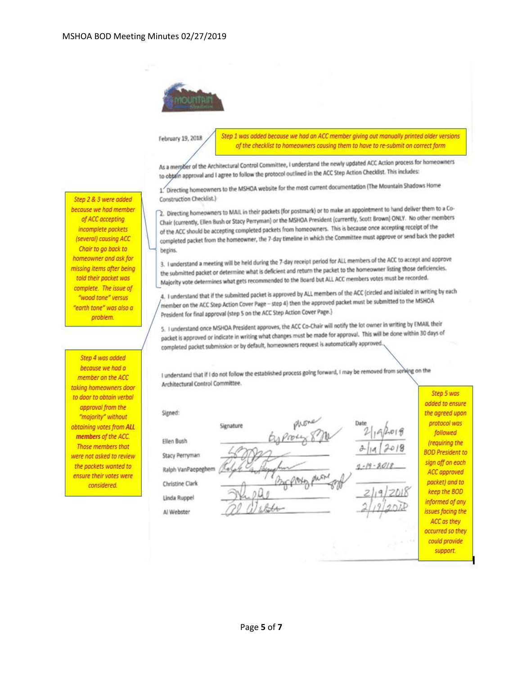

## February 19, 2018

Step 1 was added because we had an ACC member giving out manually printed older versions of the checklist to homeowners causing them to have to re-submit on correct form

As a merpoer of the Architectural Control Committee, I understand the newly updated ACC Action process for homeowners As a member of the Architectural Control Committee, continued in the ACC Step Action Checklist. This includes:

1. Directing homeowners to the MSHOA website for the most current documentation (The Mountain Shadows Home Construction Checklist.)

2. Directing homeowners to MAIL in their packets (for postmark) or to make an appointment to hand deliver them to a Co-2. Directing homeowners to MAIL in their packets (for positions) of to make an apposite to policy. No other members<br>Chair (currently, Ellen Bush or Stacy Perryman) or the MSHOA President (currently, Scott Brown) ONLY. No o Chair (currently, Ellen Bush or Stacy Perryman) or the Marion President (carefully).<br>of the ACC should be accepting completed packets from homeowners. This is because once accepting receipt of the of the ACC should be accepting completed packets from non-commercial that of excess the approve or send back the packet<br>completed packet from the homeowner, the 7-day timeline in which the Committee must approve or send ba begins.

3. I understand a meeting will be held during the 7-day receipt period for ALL members of the ACC to accept and approve 3. I understand a meeting will be held during the 7-day receipt period for ALL the homeowner listing those deficiencies.<br>The submitted packet or determine what is deficient and return the packet to the homeowner listing th the submitted packet or determine what is dencent and retain the packet to the monets votes must be recorded.<br>Majority vote determines what gets recommended to the Board but ALL ACC members votes must be recorded.

4. I understand that if the submitted packet is approved by ALL members of the ACC (circled and initialed in writing by each 4. I understand that if the submitted packet is approved by the individual packet must be submitted to the MSHOA President for final approval (step 5 on the ACC Step Action Cover Page.)

5. I understand once MSHOA President approves, the ACC Co-Chair will notify the lot owner in writing by EMAIL their 5. I understand once MSHOA President approves, the ACC Co-Chili will hope to approval. This will be done within 30 days of completed packet submission or by default, homeowners request is automatically approved.

I understand that if I do not follow the established process going forward, I may be removed from serving on the Architectural Control Committee.

Signed:

Ellen Bush

Signature

Stacy Perryman

Ralph VanPaepeghem Christine Clark

Linda Ruppel

Al Webster

 $-19 - 201$ 

added to ensure the agreed upon protocol was followed (requiring the **BOD President to** sign off on each ACC approved packet) and to keep the BOD informed of any issues facing the ACC as they occurred so they could provide support.

Step 5 was

Step 2 & 3 were added because we had member of ACC accepting incomplete packets (several) causing ACC Chair to go back to homeowner and ask for missing items after being told their packet was complete. The issue of "wood tone" versus "earth tone" was also a problem.

Step 4 was added because we had a member on the ACC taking homeowners door to door to obtain verbal approval from the "majority" without obtaining votes from ALL members of the ACC. **Those members that** were not asked to review the packets wanted to ensure their votes were considered.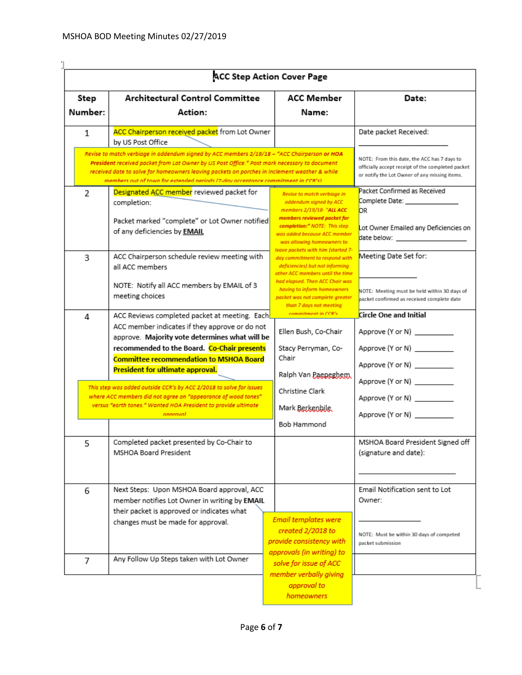| Step<br>Number: | <b>Architectural Control Committee</b><br>Action:                                                                                                                                                                                                                                                                                                                                 | ACC Member<br>Name:                                                                                                                                                                                                                                                         | Date:                                                                                                                                                 |  |  |  |
|-----------------|-----------------------------------------------------------------------------------------------------------------------------------------------------------------------------------------------------------------------------------------------------------------------------------------------------------------------------------------------------------------------------------|-----------------------------------------------------------------------------------------------------------------------------------------------------------------------------------------------------------------------------------------------------------------------------|-------------------------------------------------------------------------------------------------------------------------------------------------------|--|--|--|
| 1               | ACC Chairperson received packet from Lot Owner<br>by US Post Office                                                                                                                                                                                                                                                                                                               |                                                                                                                                                                                                                                                                             | Date packet Received:                                                                                                                                 |  |  |  |
|                 | Revise to match verbiage in addendum signed by ACC members 2/19/18 – "ACC Chairperson or HOA<br>President received packet from Lot Owner by US Post Office." Post mark necessary to document<br>received date to solve for homeowners leaving packets on porches in inclement weather & while<br>members out of town for extended neriods (7-day acceptance commitment in CCR's). |                                                                                                                                                                                                                                                                             | NOTE: From this date, the ACC has 7 days to<br>officially accept receipt of the completed packet<br>or notify the Lot Owner of any missing items.     |  |  |  |
| 2               | Designated ACC member reviewed packet for<br>completion:<br>Packet marked "complete" or Lot Owner notified<br>of any deficiencies by <b>EMAIL</b>                                                                                                                                                                                                                                 | Revise to match verbiage in<br>addendum signed by ACC<br>members 2/19/18- "ALL ACC<br>members reviewed packet for<br>completion:" NOTE: This step<br>was added because ACC member<br>was allowing homeowners to                                                             | Packet Confirmed as Received<br>Complete Date: _______________<br>DR.<br>Lot Owner Emailed any Deficiencies on<br>date below: _______________________ |  |  |  |
| 3               | ACC Chairperson schedule review meeting with<br>all ACC members<br>NOTE: Notify all ACC members by EMAIL of 3<br>meeting choices                                                                                                                                                                                                                                                  | leave packets with him (started 7-<br>day commitment to respond with<br>deficiencies) but not informing<br>other ACC members until the time<br>had elapsed. Then ACC Chair was<br>having to inform homeowners<br>packet was not complete greater<br>than 7 days not meeting | Meeting Date Set for:<br>NOTE: Meeting must be held within 30 days of<br>packet confirmed as received complete date                                   |  |  |  |
| 4               | ACC Reviews completed packet at meeting. Each<br>ACC member indicates if they approve or do not<br>approve. Majority vote determines what will be<br>recommended to the Board. Co-Chair presents<br><b>Committee recommendation to MSHOA Board</b><br>President for ultimate approval.                                                                                            | commitment in CCR's<br>Ellen Bush, Co-Chair<br>Stacy Perryman, Co-<br>Chair<br>Ralph Van Paeneghem.                                                                                                                                                                         | Circle One and Initial<br>Approve (Y or N) __________<br>Approve (Y or N) _________<br>Approve (Y or N) __________                                    |  |  |  |
|                 | This step was added outside CCR's by ACC 2/2018 to solve for issues<br>where ACC members did not agree on "appearance of wood tones"<br>versus "earth tones." Wanted HOA President to provide ultimate<br>annroval                                                                                                                                                                | Christine Clark<br>Mark Berkenbile.<br>Bob Hammond                                                                                                                                                                                                                          | Approve (Y or N) _________<br>Approve (Y or N) __________<br>Approve (Y or N) __________                                                              |  |  |  |
| 5               | Completed packet presented by Co-Chair to<br>MSHOA Board President                                                                                                                                                                                                                                                                                                                |                                                                                                                                                                                                                                                                             | MSHOA Board President Signed off<br>(signature and date):                                                                                             |  |  |  |
| 6               | Next Steps: Upon MSHOA Board approval, ACC<br>member notifies Lot Owner in writing by EMAIL<br>their packet is approved or indicates what<br>changes must be made for approval.                                                                                                                                                                                                   | <b>Email templates were</b><br>created 2/2018 to<br>provide consistency with                                                                                                                                                                                                | Email Notification sent to Lot<br>Owner:<br>NOTE: Must be within 30 days of competed                                                                  |  |  |  |
| 7               | Any Follow Up Steps taken with Lot Owner                                                                                                                                                                                                                                                                                                                                          | approvals (in writing) to<br>solve for issue of ACC<br>member verbally giving<br>approval to                                                                                                                                                                                | packet submission                                                                                                                                     |  |  |  |